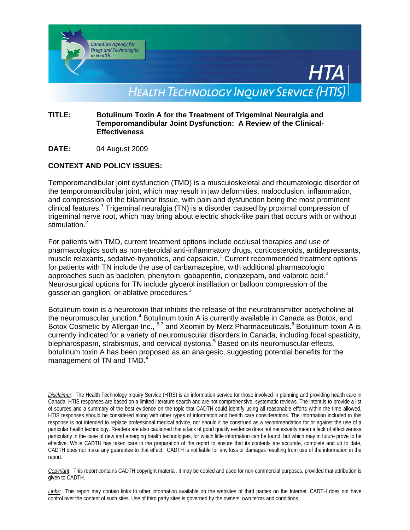

### **TITLE: Botulinum Toxin A for the Treatment of Trigeminal Neuralgia and Temporomandibular Joint Dysfunction: A Review of the Clinical-Effectiveness**

**DATE:** 04 August 2009

## **CONTEXT AND POLICY ISSUES:**

Temporomandibular joint dysfunction (TMD) is a musculoskeletal and rheumatologic disorder of the temporomandibular joint, which may result in jaw deformities, malocclusion, inflammation, and compression of the bilaminar tissue, with pain and dysfunction being the most prominent clinical features.<sup>1</sup> Trigeminal neuralgia (TN) is a disorder caused by proximal compression of trigeminal nerve root, which may bring about electric shock-like pain that occurs with or without stimulation.<sup>2</sup>

For patients with TMD, current treatment options include occlusal therapies and use of pharmacologics such as non-steroidal anti-inflammatory drugs, corticosteroids, antidepressants, muscle relaxants, sedative-hypnotics, and capsaicin.<sup>1</sup> Current recommended treatment options for patients with TN include the use of carbamazepine, with additional pharmacologic approaches such as baclofen, phenytoin, gabapentin, clonazepam, and valproic acid.<sup>2</sup> Neurosurgical options for TN include glycerol instillation or balloon compression of the gasserian ganglion, or ablative procedures. $3$ 

Botulinum toxin is a neurotoxin that inhibits the release of the neurotransmitter acetycholine at the neuromuscular junction.<sup>4</sup> Botulinum toxin A is currently available in Canada as Botox, and Botox Cosmetic by Allergan Inc., <sup>5-7</sup> and Xeomin by Merz Pharmaceuticals.<sup>8</sup> Botulinum toxin A is currently indicated for a variety of neuromuscular disorders in Canada, including focal spasticity, blepharospasm, strabismus, and cervical dystonia.<sup>5</sup> Based on its neuromuscular effects, botulinum toxin A has been proposed as an analgesic, suggesting potential benefits for the management of TN and TMD.<sup>4</sup>

*Disclaimer*: The Health Technology Inquiry Service (HTIS) is an information service for those involved in planning and providing health care in Canada. HTIS responses are based on a limited literature search and are not comprehensive, systematic reviews. The intent is to provide a list of sources and a summary of the best evidence on the topic that CADTH could identify using all reasonable efforts within the time allowed. HTIS responses should be considered along with other types of information and health care considerations. The information included in this response is not intended to replace professional medical advice, nor should it be construed as a recommendation for or against the use of a particular health technology. Readers are also cautioned that a lack of good quality evidence does not necessarily mean a lack of effectiveness particularly in the case of new and emerging health technologies, for which little information can be found, but which may in future prove to be effective. While CADTH has taken care in the preparation of the report to ensure that its contents are accurate, complete and up to date, CADTH does not make any guarantee to that effect. CADTH is not liable for any loss or damages resulting from use of the information in the report.

*Copyright*: This report contains CADTH copyright material. It may be copied and used for non-commercial purposes, provided that attribution is given to CADTH.

*Links*: This report may contain links to other information available on the websites of third parties on the Internet. CADTH does not have control over the content of such sites. Use of third party sites is governed by the owners' own terms and conditions.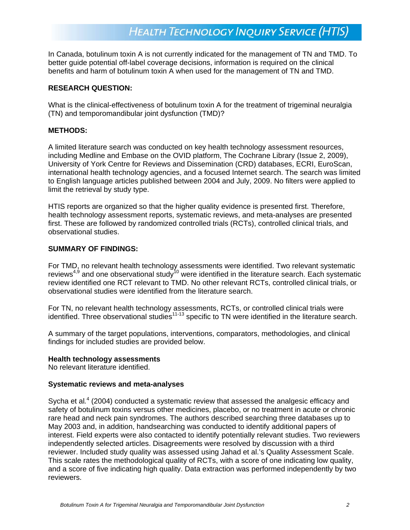In Canada, botulinum toxin A is not currently indicated for the management of TN and TMD. To better guide potential off-label coverage decisions, information is required on the clinical benefits and harm of botulinum toxin A when used for the management of TN and TMD.

#### **RESEARCH QUESTION:**

What is the clinical-effectiveness of botulinum toxin A for the treatment of trigeminal neuralgia (TN) and temporomandibular joint dysfunction (TMD)?

#### **METHODS:**

A limited literature search was conducted on key health technology assessment resources, including Medline and Embase on the OVID platform, The Cochrane Library (Issue 2, 2009), University of York Centre for Reviews and Dissemination (CRD) databases, ECRI, EuroScan, international health technology agencies, and a focused Internet search. The search was limited to English language articles published between 2004 and July, 2009. No filters were applied to limit the retrieval by study type.

HTIS reports are organized so that the higher quality evidence is presented first. Therefore, health technology assessment reports, systematic reviews, and meta-analyses are presented first. These are followed by randomized controlled trials (RCTs), controlled clinical trials, and observational studies.

### **SUMMARY OF FINDINGS:**

For TMD, no relevant health technology assessments were identified. Two relevant systematic reviews<sup>4,9</sup> and one observational study<sup>10</sup> were identified in the literature search. Each systematic review identified one RCT relevant to TMD. No other relevant RCTs, controlled clinical trials, or observational studies were identified from the literature search.

For TN, no relevant health technology assessments, RCTs, or controlled clinical trials were identified. Three observational studies<sup>11-13</sup> specific to TN were identified in the literature search.

A summary of the target populations, interventions, comparators, methodologies, and clinical findings for included studies are provided below.

#### **Health technology assessments**

No relevant literature identified.

#### **Systematic reviews and meta-analyses**

Sycha et al.<sup>4</sup> (2004) conducted a systematic review that assessed the analgesic efficacy and safety of botulinum toxins versus other medicines, placebo, or no treatment in acute or chronic rare head and neck pain syndromes. The authors described searching three databases up to May 2003 and, in addition, handsearching was conducted to identify additional papers of interest. Field experts were also contacted to identify potentially relevant studies. Two reviewers independently selected articles. Disagreements were resolved by discussion with a third reviewer. Included study quality was assessed using Jahad et al.'s Quality Assessment Scale. This scale rates the methodological quality of RCTs, with a score of one indicating low quality, and a score of five indicating high quality. Data extraction was performed independently by two reviewers.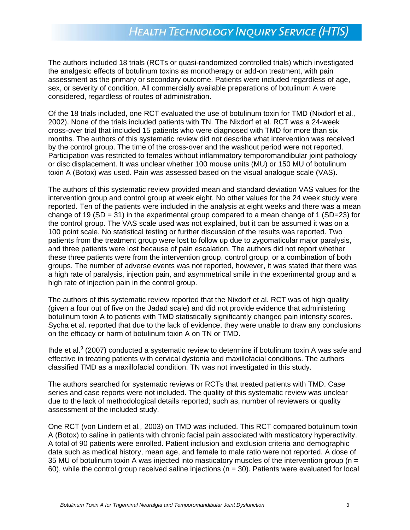The authors included 18 trials (RCTs or quasi-randomized controlled trials) which investigated the analgesic effects of botulinum toxins as monotherapy or add-on treatment, with pain assessment as the primary or secondary outcome. Patients were included regardless of age, sex, or severity of condition. All commercially available preparations of botulinum A were considered, regardless of routes of administration.

Of the 18 trials included, one RCT evaluated the use of botulinum toxin for TMD (Nixdorf et al*.,*  2002). None of the trials included patients with TN. The Nixdorf et al. RCT was a 24-week cross-over trial that included 15 patients who were diagnosed with TMD for more than six months. The authors of this systematic review did not describe what intervention was received by the control group. The time of the cross-over and the washout period were not reported. Participation was restricted to females without inflammatory temporomandibular joint pathology or disc displacement. It was unclear whether 100 mouse units (MU) or 150 MU of botulinum toxin A (Botox) was used. Pain was assessed based on the visual analogue scale (VAS).

The authors of this systematic review provided mean and standard deviation VAS values for the intervention group and control group at week eight. No other values for the 24 week study were reported. Ten of the patients were included in the analysis at eight weeks and there was a mean change of 19 (SD = 31) in the experimental group compared to a mean change of 1 (SD=23) for the control group. The VAS scale used was not explained, but it can be assumed it was on a 100 point scale. No statistical testing or further discussion of the results was reported. Two patients from the treatment group were lost to follow up due to zygomaticular major paralysis, and three patients were lost because of pain escalation. The authors did not report whether these three patients were from the intervention group, control group, or a combination of both groups. The number of adverse events was not reported, however, it was stated that there was a high rate of paralysis, injection pain, and asymmetrical smile in the experimental group and a high rate of injection pain in the control group.

The authors of this systematic review reported that the Nixdorf et al. RCT was of high quality (given a four out of five on the Jadad scale) and did not provide evidence that administering botulinum toxin A to patients with TMD statistically significantly changed pain intensity scores. Sycha et al. reported that due to the lack of evidence, they were unable to draw any conclusions on the efficacy or harm of botulinum toxin A on TN or TMD.

Ihde et al. $9$  (2007) conducted a systematic review to determine if botulinum toxin A was safe and effective in treating patients with cervical dystonia and maxillofacial conditions. The authors classified TMD as a maxillofacial condition. TN was not investigated in this study.

The authors searched for systematic reviews or RCTs that treated patients with TMD. Case series and case reports were not included. The quality of this systematic review was unclear due to the lack of methodological details reported; such as, number of reviewers or quality assessment of the included study.

One RCT (von Lindern et al*.,* 2003) on TMD was included. This RCT compared botulinum toxin A (Botox) to saline in patients with chronic facial pain associated with masticatory hyperactivity. A total of 90 patients were enrolled. Patient inclusion and exclusion criteria and demographic data such as medical history, mean age, and female to male ratio were not reported. A dose of 35 MU of botulinum toxin A was injected into masticatory muscles of the intervention group ( $n =$ 60), while the control group received saline injections ( $n = 30$ ). Patients were evaluated for local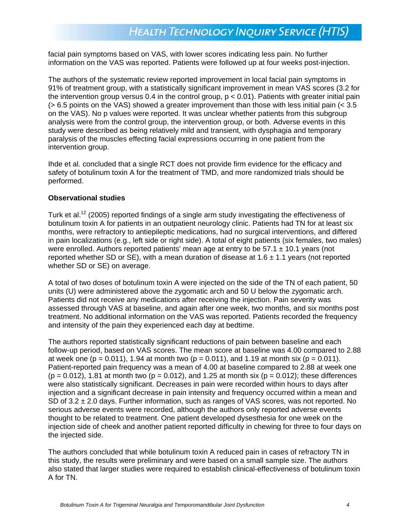facial pain symptoms based on VAS, with lower scores indicating less pain. No further information on the VAS was reported. Patients were followed up at four weeks post-injection.

The authors of the systematic review reported improvement in local facial pain symptoms in 91% of treatment group, with a statistically significant improvement in mean VAS scores (3.2 for the intervention group versus 0.4 in the control group,  $p < 0.01$ ). Patients with greater initial pain  $(> 6.5$  points on the VAS) showed a greater improvement than those with less initial pain  $(< 3.5$ on the VAS). No p values were reported. It was unclear whether patients from this subgroup analysis were from the control group, the intervention group, or both. Adverse events in this study were described as being relatively mild and transient, with dysphagia and temporary paralysis of the muscles effecting facial expressions occurring in one patient from the intervention group.

Ihde et al*.* concluded that a single RCT does not provide firm evidence for the efficacy and safety of botulinum toxin A for the treatment of TMD, and more randomized trials should be performed.

#### **Observational studies**

Turk et al.<sup>12</sup> (2005) reported findings of a single arm study investigating the effectiveness of botulinum toxin A for patients in an outpatient neurology clinic. Patients had TN for at least six months, were refractory to antiepileptic medications, had no surgical interventions, and differed in pain localizations (e.g., left side or right side). A total of eight patients (six females, two males) were enrolled. Authors reported patients' mean age at entry to be  $57.1 \pm 10.1$  years (not reported whether SD or SE), with a mean duration of disease at 1.6  $\pm$  1.1 years (not reported whether SD or SE) on average.

A total of two doses of botulinum toxin A were injected on the side of the TN of each patient, 50 units (U) were administered above the zygomatic arch and 50 U below the zygomatic arch. Patients did not receive any medications after receiving the injection. Pain severity was assessed through VAS at baseline, and again after one week, two months, and six months post treatment. No additional information on the VAS was reported. Patients recorded the frequency and intensity of the pain they experienced each day at bedtime.

The authors reported statistically significant reductions of pain between baseline and each follow-up period, based on VAS scores. The mean score at baseline was 4.00 compared to 2.88 at week one (p = 0.011), 1.94 at month two (p = 0.011), and 1.19 at month six (p = 0.011). Patient-reported pain frequency was a mean of 4.00 at baseline compared to 2.88 at week one  $(p = 0.012)$ , 1.81 at month two  $(p = 0.012)$ , and 1.25 at month six  $(p = 0.012)$ ; these differences were also statistically significant. Decreases in pain were recorded within hours to days after injection and a significant decrease in pain intensity and frequency occurred within a mean and SD of  $3.2 \pm 2.0$  days. Further information, such as ranges of VAS scores, was not reported. No serious adverse events were recorded, although the authors only reported adverse events thought to be related to treatment. One patient developed dysesthesia for one week on the injection side of cheek and another patient reported difficulty in chewing for three to four days on the injected side.

The authors concluded that while botulinum toxin A reduced pain in cases of refractory TN in this study, the results were preliminary and were based on a small sample size. The authors also stated that larger studies were required to establish clinical-effectiveness of botulinum toxin A for TN.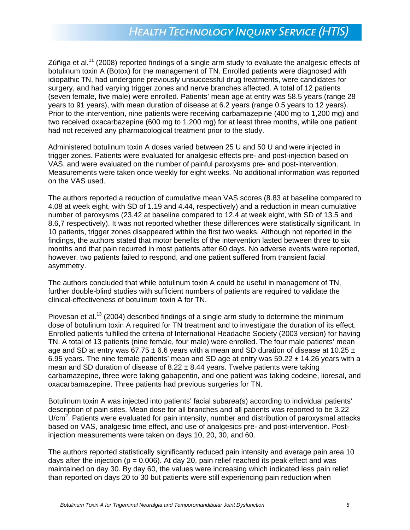Zúñiga et al.<sup>11</sup> (2008) reported findings of a single arm study to evaluate the analgesic effects of botulinum toxin A (Botox) for the management of TN. Enrolled patients were diagnosed with idiopathic TN, had undergone previously unsuccessful drug treatments, were candidates for surgery, and had varying trigger zones and nerve branches affected. A total of 12 patients (seven female, five male) were enrolled. Patients' mean age at entry was 58.5 years (range 28 years to 91 years), with mean duration of disease at 6.2 years (range 0.5 years to 12 years). Prior to the intervention, nine patients were receiving carbamazepine (400 mg to 1,200 mg) and two received oxacarbazepine (600 mg to 1,200 mg) for at least three months, while one patient had not received any pharmacological treatment prior to the study.

Administered botulinum toxin A doses varied between 25 U and 50 U and were injected in trigger zones. Patients were evaluated for analgesic effects pre- and post-injection based on VAS, and were evaluated on the number of painful paroxysms pre- and post-intervention. Measurements were taken once weekly for eight weeks. No additional information was reported on the VAS used.

The authors reported a reduction of cumulative mean VAS scores (8.83 at baseline compared to 4.08 at week eight, with SD of 1.19 and 4.44, respectively) and a reduction in mean cumulative number of paroxysms (23.42 at baseline compared to 12.4 at week eight, with SD of 13.5 and 8.6,7 respectively). It was not reported whether these differences were statistically significant. In 10 patients, trigger zones disappeared within the first two weeks. Although not reported in the findings, the authors stated that motor benefits of the intervention lasted between three to six months and that pain recurred in most patients after 60 days. No adverse events were reported, however, two patients failed to respond, and one patient suffered from transient facial asymmetry.

The authors concluded that while botulinum toxin A could be useful in management of TN, further double-blind studies with sufficient numbers of patients are required to validate the clinical-effectiveness of botulinum toxin A for TN.

Piovesan et al.<sup>13</sup> (2004) described findings of a single arm study to determine the minimum dose of botulinum toxin A required for TN treatment and to investigate the duration of its effect. Enrolled patients fulfilled the criteria of International Headache Society (2003 version) for having TN. A total of 13 patients (nine female, four male) were enrolled. The four male patients' mean age and SD at entry was 67.75  $\pm$  6.6 years with a mean and SD duration of disease at 10.25  $\pm$ 6.95 years. The nine female patients' mean and SD age at entry was  $59.22 \pm 14.26$  years with a mean and SD duration of disease of  $8.22 \pm 8.44$  years. Twelve patients were taking carbamazepine, three were taking gabapentin, and one patient was taking codeine, lioresal, and oxacarbamazepine. Three patients had previous surgeries for TN.

Botulinum toxin A was injected into patients' facial subarea(s) according to individual patients' description of pain sites. Mean dose for all branches and all patients was reported to be 3.22 U/cm<sup>2</sup>. Patients were evaluated for pain intensity, number and distribution of paroxysmal attacks based on VAS, analgesic time effect, and use of analgesics pre- and post-intervention. Postinjection measurements were taken on days 10, 20, 30, and 60.

The authors reported statistically significantly reduced pain intensity and average pain area 10 days after the injection ( $p = 0.006$ ). At day 20, pain relief reached its peak effect and was maintained on day 30. By day 60, the values were increasing which indicated less pain relief than reported on days 20 to 30 but patients were still experiencing pain reduction when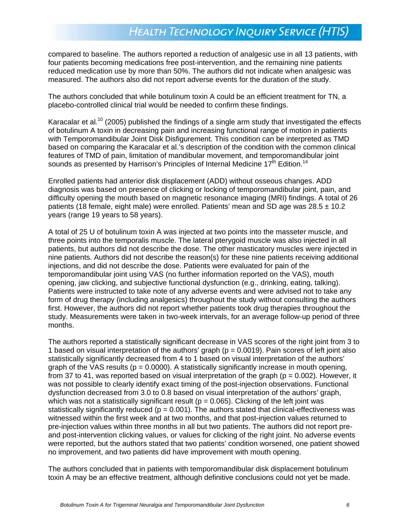compared to baseline. The authors reported a reduction of analgesic use in all 13 patients, with four patients becoming medications free post-intervention, and the remaining nine patients reduced medication use by more than 50%. The authors did not indicate when analgesic was measured. The authors also did not report adverse events for the duration of the study.

The authors concluded that while botulinum toxin A could be an efficient treatment for TN, a placebo-controlled clinical trial would be needed to confirm these findings.

Karacalar et al*.* <sup>10</sup> (2005) published the findings of a single arm study that investigated the effects of botulinum A toxin in decreasing pain and increasing functional range of motion in patients with Temporomandibular Joint Disk Disfigurement. This condition can be interpreted as TMD based on comparing the Karacalar et al.'s description of the condition with the common clinical features of TMD of pain, limitation of mandibular movement, and temporomandibular joint sounds as presented by Harrison's Principles of Internal Medicine  $17<sup>th</sup>$  Edition.<sup>14</sup>

Enrolled patients had anterior disk displacement (ADD) without osseous changes. ADD diagnosis was based on presence of clicking or locking of temporomandibular joint, pain, and difficulty opening the mouth based on magnetic resonance imaging (MRI) findings. A total of 26 patients (18 female, eight male) were enrolled. Patients' mean and SD age was  $28.5 \pm 10.2$ years (range 19 years to 58 years).

A total of 25 U of botulinum toxin A was injected at two points into the masseter muscle, and three points into the temporalis muscle. The lateral pterygoid muscle was also injected in all patients, but authors did not describe the dose. The other masticatory muscles were injected in nine patients. Authors did not describe the reason(s) for these nine patients receiving additional injections, and did not describe the dose. Patients were evaluated for pain of the temporomandibular joint using VAS (no further information reported on the VAS), mouth opening, jaw clicking, and subjective functional dysfunction (e.g., drinking, eating, talking). Patients were instructed to take note of any adverse events and were advised not to take any form of drug therapy (including analgesics) throughout the study without consulting the authors first. However, the authors did not report whether patients took drug therapies throughout the study. Measurements were taken in two-week intervals, for an average follow-up period of three months.

The authors reported a statistically significant decrease in VAS scores of the right joint from 3 to 1 based on visual interpretation of the authors' graph ( $p = 0.0019$ ). Pain scores of left joint also statistically significantly decreased from 4 to 1 based on visual interpretation of the authors' graph of the VAS results ( $p = 0.0000$ ). A statistically significantly increase in mouth opening, from 37 to 41, was reported based on visual interpretation of the graph ( $p = 0.002$ ). However, it was not possible to clearly identify exact timing of the post-injection observations. Functional dysfunction decreased from 3.0 to 0.8 based on visual interpretation of the authors' graph, which was not a statistically significant result ( $p = 0.065$ ). Clicking of the left joint was statistically significantly reduced ( $p = 0.001$ ). The authors stated that clinical-effectiveness was witnessed within the first week and at two months, and that post-injection values returned to pre-injection values within three months in all but two patients. The authors did not report preand post-intervention clicking values, or values for clicking of the right joint. No adverse events were reported, but the authors stated that two patients' condition worsened, one patient showed no improvement, and two patients did have improvement with mouth opening.

The authors concluded that in patients with temporomandibular disk displacement botulinum toxin A may be an effective treatment, although definitive conclusions could not yet be made.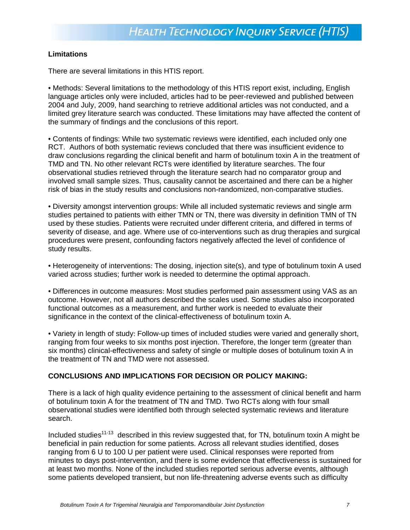### **Limitations**

There are several limitations in this HTIS report.

• Methods: Several limitations to the methodology of this HTIS report exist, including, English language articles only were included, articles had to be peer-reviewed and published between 2004 and July, 2009, hand searching to retrieve additional articles was not conducted, and a limited grey literature search was conducted. These limitations may have affected the content of the summary of findings and the conclusions of this report.

• Contents of findings: While two systematic reviews were identified, each included only one RCT. Authors of both systematic reviews concluded that there was insufficient evidence to draw conclusions regarding the clinical benefit and harm of botulinum toxin A in the treatment of TMD and TN. No other relevant RCTs were identified by literature searches. The four observational studies retrieved through the literature search had no comparator group and involved small sample sizes. Thus, causality cannot be ascertained and there can be a higher risk of bias in the study results and conclusions non-randomized, non-comparative studies.

• Diversity amongst intervention groups: While all included systematic reviews and single arm studies pertained to patients with either TMN or TN, there was diversity in definition TMN of TN used by these studies. Patients were recruited under different criteria, and differed in terms of severity of disease, and age. Where use of co-interventions such as drug therapies and surgical procedures were present, confounding factors negatively affected the level of confidence of study results.

• Heterogeneity of interventions: The dosing, injection site(s), and type of botulinum toxin A used varied across studies; further work is needed to determine the optimal approach.

• Differences in outcome measures: Most studies performed pain assessment using VAS as an outcome. However, not all authors described the scales used. Some studies also incorporated functional outcomes as a measurement, and further work is needed to evaluate their significance in the context of the clinical-effectiveness of botulinum toxin A.

• Variety in length of study: Follow-up times of included studies were varied and generally short, ranging from four weeks to six months post injection. Therefore, the longer term (greater than six months) clinical-effectiveness and safety of single or multiple doses of botulinum toxin A in the treatment of TN and TMD were not assessed.

### **CONCLUSIONS AND IMPLICATIONS FOR DECISION OR POLICY MAKING:**

There is a lack of high quality evidence pertaining to the assessment of clinical benefit and harm of botulinum toxin A for the treatment of TN and TMD. Two RCTs along with four small observational studies were identified both through selected systematic reviews and literature search.

Included studies<sup>11-13</sup> described in this review suggested that, for TN, botulinum toxin A might be beneficial in pain reduction for some patients. Across all relevant studies identified, doses ranging from 6 U to 100 U per patient were used. Clinical responses were reported from minutes to days post-intervention, and there is some evidence that effectiveness is sustained for at least two months. None of the included studies reported serious adverse events, although some patients developed transient, but non life-threatening adverse events such as difficulty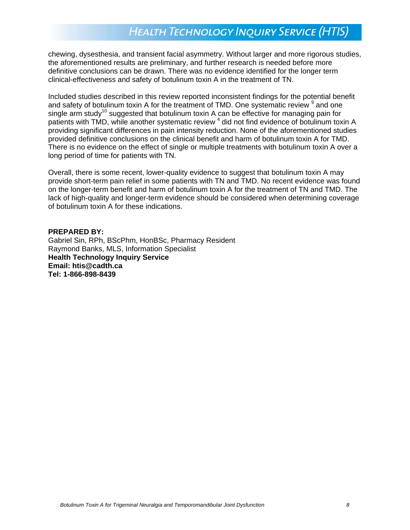chewing, dysesthesia, and transient facial asymmetry. Without larger and more rigorous studies, the aforementioned results are preliminary, and further research is needed before more definitive conclusions can be drawn. There was no evidence identified for the longer term clinical-effectiveness and safety of botulinum toxin A in the treatment of TN.

Included studies described in this review reported inconsistent findings for the potential benefit and safety of botulinum toxin A for the treatment of TMD. One systematic review  $9$  and one single arm study<sup>10</sup> suggested that botulinum toxin A can be effective for managing pain for patients with TMD, while another systematic review <sup>4</sup> did not find evidence of botulinum toxin A providing significant differences in pain intensity reduction. None of the aforementioned studies provided definitive conclusions on the clinical benefit and harm of botulinum toxin A for TMD. There is no evidence on the effect of single or multiple treatments with botulinum toxin A over a long period of time for patients with TN.

Overall, there is some recent, lower-quality evidence to suggest that botulinum toxin A may provide short-term pain relief in some patients with TN and TMD. No recent evidence was found on the longer-term benefit and harm of botulinum toxin A for the treatment of TN and TMD. The lack of high-quality and longer-term evidence should be considered when determining coverage of botulinum toxin A for these indications.

#### **PREPARED BY:**

Gabriel Sin, RPh, BScPhm, HonBSc, Pharmacy Resident Raymond Banks, MLS, Information Specialist **Health Technology Inquiry Service Email: [htis@cadth.ca](mailto:htis@cadth.ca) Tel: 1-866-898-8439**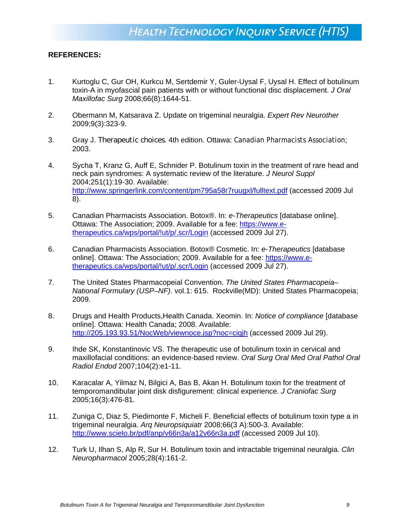### **REFERENCES:**

- 1. Kurtoglu C, Gur OH, Kurkcu M, Sertdemir Y, Guler-Uysal F, Uysal H. Effect of botulinum toxin-A in myofascial pain patients with or without functional disc displacement. *J Oral Maxillofac Surg* 2008;66(8):1644-51.
- 2. Obermann M, Katsarava Z. Update on trigeminal neuralgia. *Expert Rev Neurother* 2009;9(3):323-9.
- 3. Gray J. *Therapeutic choices*. 4th edition. Ottawa: Canadian Pharmacists Association; 2003.
- 4. Sycha T, Kranz G, Auff E, Schnider P. Botulinum toxin in the treatment of rare head and neck pain syndromes: A systematic review of the literature. *J Neurol Suppl* 2004;251(1):19-30. Available: <http://www.springerlink.com/content/pm795a58r7ruugxl/fulltext.pdf> (accessed 2009 Jul 8).
- 5. Canadian Pharmacists Association. Botox®. In: *e-Therapeutics* [database online]. Ottawa: The Association; 2009. Available for a fee: [https://www.e](https://www.e-therapeutics.ca/wps/portal/!ut/p/.scr/Login)[therapeutics.ca/wps/portal/!ut/p/.scr/Login](https://www.e-therapeutics.ca/wps/portal/!ut/p/.scr/Login) (accessed 2009 Jul 27).
- 6. Canadian Pharmacists Association. Botox® Cosmetic. In: *e-Therapeutics* [database online]. Ottawa: The Association; 2009. Available for a fee: [https://www.e](https://www.e-therapeutics.ca/wps/portal/!ut/p/.scr/Login)[therapeutics.ca/wps/portal/!ut/p/.scr/Login](https://www.e-therapeutics.ca/wps/portal/!ut/p/.scr/Login) (accessed 2009 Jul 27).
- 7. The United States Pharmacopeial Convention. *The United States Pharmacopeia– National Formulary (USP–NF)*. vol.1: 615. Rockville(MD): United States Pharmacopeia; 2009.
- 8. Drugs and Health Products,Health Canada. Xeomin. In: *Notice of compliance* [database online]. Ottawa: Health Canada; 2008. Available: <http://205.193.93.51/NocWeb/viewnoce.jsp?noc=cigjh> (accessed 2009 Jul 29).
- 9. Ihde SK, Konstantinovic VS. The therapeutic use of botulinum toxin in cervical and maxillofacial conditions: an evidence-based review. *Oral Surg Oral Med Oral Pathol Oral Radiol Endod* 2007;104(2):e1-11.
- 10. Karacalar A, Yilmaz N, Bilgici A, Bas B, Akan H. Botulinum toxin for the treatment of temporomandibular joint disk disfigurement: clinical experience. *J Craniofac Surg* 2005;16(3):476-81.
- 11. Zuniga C, Diaz S, Piedimonte F, Micheli F. Beneficial effects of botulinum toxin type a in trigeminal neuralgia. *Arq Neuropsiquiatr* 2008;66(3 A):500-3. Available: <http://www.scielo.br/pdf/anp/v66n3a/a12v66n3a.pdf> (accessed 2009 Jul 10).
- 12. Turk U, Ilhan S, Alp R, Sur H. Botulinum toxin and intractable trigeminal neuralgia. *Clin Neuropharmacol* 2005;28(4):161-2.